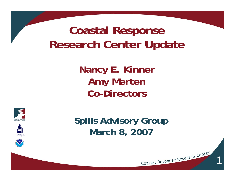# **Coastal Response Research Center Update**

**Nancy E. Kinner Amy Merten Co-Directors**







**Spills Advisory Group March 8, 2007**

1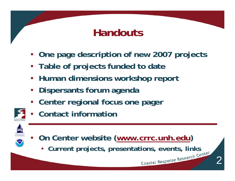## **Handouts**

- **One page description of new 2007 projects**
- **Table of projects funded to date**
- **Human dimensions workshop report**
- **Dispersants forum agenda**
- **Center regional focus one pager**
- **Contact information**





• **Current projects, presentations, events, links**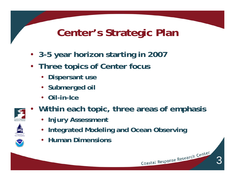# **Center's Strategic Plan**

- **3-5 year horizon starting in 2007**
- **Three topics of Center focus**
	- **Dispersant use**
	- **Submerged oil**
	- **Oil-in-Ice**
- $\bullet$ **Within each topic, three areas of emphasis**

3

- **Injury Assessment**
- •**Integrated Modeling and Ocean Observing**
- **Human Dimensions**

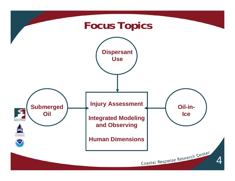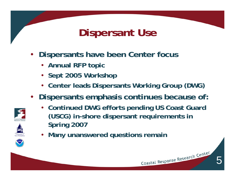# **Dispersant Use**

- **Dispersants have been Center focus**
	- **Annual RFP topic**
	- **Sept 2005 Workshop**
	- **Center leads Dispersants Working Group (DWG)**
- **Dispersants emphasis continues because of:**
	- **Continued DWG efforts pending US Coast Guard (USCG) in-shore dispersant requirements in Spring 2007**

5

Coastal Response Research Center

• **Many unanswered questions remain**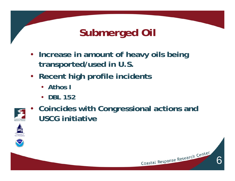# **Submerged Oil**

- **Increase in amount of heavy oils being transported/used in U.S.**
- **Recent high profile incidents**
	- **Athos I**
	- **DBL 152**
- • **Coincides with Congressional actions and USCG initiative**

6



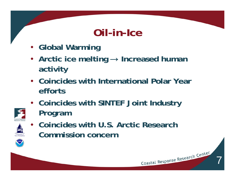## **Oil-in-Ice**

- **Global Warming**
- **Arctic ice melting** <sup>→</sup> **Increased human activity**
- **Coincides with International Polar Year efforts**
- **Coincides with SINTEF Joint Industry Program**





• **Coincides with U.S. Arctic Research Commission concern**

7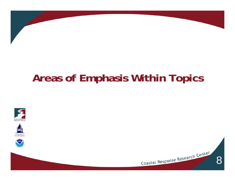# **Areas of Emphasis Within Topics**







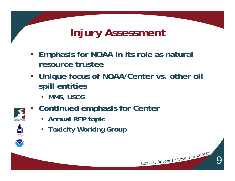# **Injury Assessment**

- **Emphasis for NOAA in its role as natural resource trustee**
- **Unique focus of NOAA/Center vs. other oil spill entities**

9

- **MMS, USCG**
- **Continued emphasis for Center**
	- **Annual RFP topic**
	- **Toxicity Working Group**



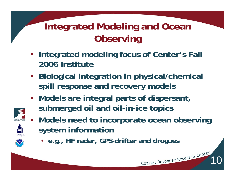#### **Integrated Modeling and Ocean Observing**

- **Integrated modeling focus of Center's Fall 2006 Institute**
- **Biological integration in physical/chemical spill response and recovery models**
- **Models are integral parts of dispersant, submerged oil and oil-in-ice topics**
- **Models need to incorporate ocean observing system information**

10

• **e.g., HF radar, GPS-drifter and drogues**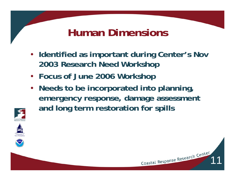# **Human Dimensions**

- **Identified as important during Center's Nov 2003 Research Need Workshop**
- **Focus of June 2006 Workshop**
- **Needs to be incorporated into planning, emergency response, damage assessment and long term restoration for spills**



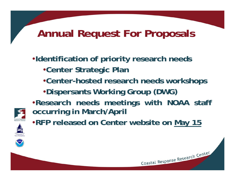#### **Annual Request For Proposals**

#### •**Identification of priority research needs** •**Center Strategic Plan** •**Center-hosted research needs workshops** •**Dispersants Working Group (DWG)**



- •**Research needs meetings with NOAA staff occurring in March/April**
- •**RFP released on Center website on May 15**

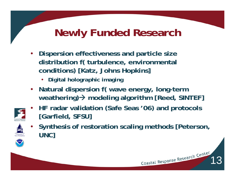# **Newly Funded Research**

- **Dispersion effectiveness and particle size distribution f( turbulence, environmental conditions) [Katz, Johns Hopkins]**
	- •**Digital holographic imaging**
- **Natural dispersion f( wave energy, long-term weathering)** Æ **modeling algorithm [Reed, SINTEF]**
- • **HF radar validation (Safe Seas '06) and protocols [Garfield, SFSU]**



• **Synthesis of restoration scaling methods [Peterson, UNC]**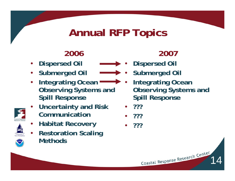# **Annual RFP Topics**

#### **2006**

- •**Dispersed Oil**
- **Submerged Oil**
- • **Integrating Ocean Observing Systems and Spill Response**
- • **Uncertainty and Risk Communication**
	- **Habitat Recovery**
- • **Restoration Scaling Methods**

#### **2007**

- • **Dispersed Oil** 
	- **Submerged Oil**
	- • **Integrating Ocean Observing Systems and Spill Response**

14

- **???**
- •**???**
- •**???**



•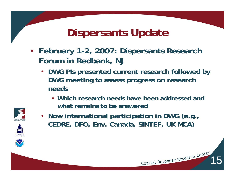## **Dispersants Update**

- **February 1-2, 2007: Dispersants Research Forum in Redbank, NJ**
	- **DWG PIs presented current research followed by DWG meeting to assess progress on research needs**
		- **Which research needs have been addressed and what remains to be answered**

15



• **Now international participation in DWG (e.g., CEDRE, DFO, Env. Canada, SINTEF, UK MCA)**

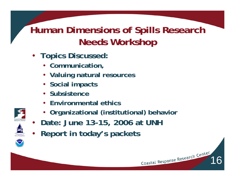#### **Human Dimensions of Spills Research Needs Workshop**

- **Topics Discussed:**
	- **Communication,**
	- **Valuing natural resources**
	- **Social impacts**
	- **Subsistence**
	- **Environmental ethics**
	- **Organizational (institutional) behavior**

- •**Date: June 13-15, 2006 at UNH**
- **Report in today's packets**

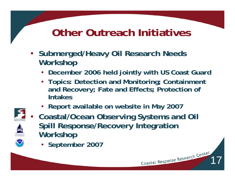# **Other Outreach Initiatives**

- **Submerged/Heavy Oil Research Needs Workshop** 
	- **December 2006 held jointly with US Coast Guard**
	- **Topics: Detection and Monitoring; Containment and Recovery; Fate and Effects; Protection of Intakes**

17

• **Report available on website in May 2007**



- • **Coastal/Ocean Observing Systems and Oil Spill Response/Recovery Integration Workshop** 
	- **September 2007**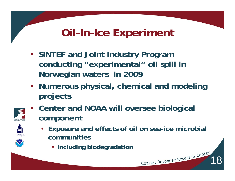# **Oil-In-Ice Experiment**

- **SINTEF and Joint Industry Program conducting "experimental" oil spill in Norwegian waters in 2009**
- **Numerous physical, chemical and modeling projects**
- $\bullet$  **Center and NOAA will oversee biological component**
	- **Exposure and effects of oil on sea-ice microbial communities**

18

• **Including biodegradation**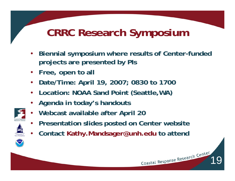# **CRRC Research Symposium**

- **Biennial symposium where results of Center-funded projects are presented by PIs**
- **Free, open to all**
- **Date/Time: April 19, 2007; 0830 to 1700**
- **Location: NOAA Sand Point (Seattle,WA)**
- **Agenda in today's handouts**
- •**Webcast available after April 20**
- •**Presentation slides posted on Center website**
- **Contact Kathy.Mandsager@unh.edu to attendrughts**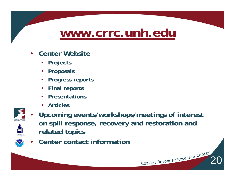# **www.crrc.unh.edu**

- **Center Website** 
	- **Projects**
	- **Proposals**
	- **Progress reports**
	- **Final reports**
	- **Presentations**
	- •**Articles**



•

 **Upcoming events/workshops/meetings of interest on spill response, recovery and restoration and related topics**

Coastal Response Research Center

•**Center contact information**